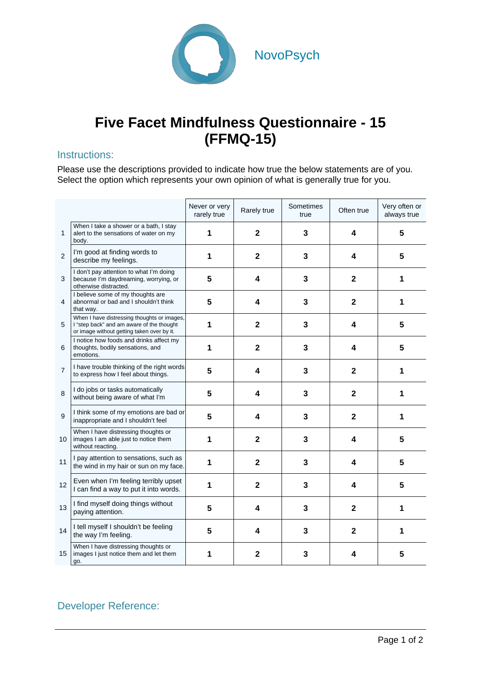

## **Five Facet Mindfulness Questionnaire - 15 (FFMQ-15)**

## Instructions:

Please use the descriptions provided to indicate how true the below statements are of you. Select the option which represents your own opinion of what is generally true for you.

|                |                                                                                                                                        | Never or very<br>rarely true | Rarely true             | Sometimes<br>true | Often true     | Very often or<br>always true |
|----------------|----------------------------------------------------------------------------------------------------------------------------------------|------------------------------|-------------------------|-------------------|----------------|------------------------------|
| 1              | When I take a shower or a bath, I stay<br>alert to the sensations of water on my<br>body.                                              | 1                            | $\mathbf{2}$            | 3                 | 4              | 5                            |
| 2              | I'm good at finding words to<br>describe my feelings.                                                                                  | 1                            | $\mathbf{2}$            | 3                 | 4              | 5                            |
| 3              | I don't pay attention to what I'm doing<br>because I'm daydreaming, worrying, or<br>otherwise distracted.                              | 5                            | 4                       | 3                 | $\mathbf{2}$   | 1                            |
| 4              | I believe some of my thoughts are<br>abnormal or bad and I shouldn't think<br>that way.                                                | 5                            | 4                       | 3                 | $\mathbf 2$    | 1                            |
| 5              | When I have distressing thoughts or images,<br>I "step back" and am aware of the thought<br>or image without getting taken over by it. | 1                            | $\mathbf{2}$            | 3                 | 4              | 5                            |
| 6              | I notice how foods and drinks affect my<br>thoughts, bodily sensations, and<br>emotions.                                               | 1                            | $\overline{2}$          | 3                 | 4              | 5                            |
| $\overline{7}$ | I have trouble thinking of the right words<br>to express how I feel about things.                                                      | 5                            | 4                       | 3                 | $\overline{2}$ | 1                            |
| 8              | I do jobs or tasks automatically<br>without being aware of what I'm                                                                    | 5                            | 4                       | 3                 | $\mathbf{2}$   | 1                            |
| 9              | I think some of my emotions are bad or<br>inappropriate and I shouldn't feel                                                           | 5                            | $\overline{\mathbf{4}}$ | $\overline{3}$    | $\mathbf{2}$   | 1                            |
| 10             | When I have distressing thoughts or<br>images I am able just to notice them<br>without reacting.                                       | 1                            | $\mathbf 2$             | 3                 | 4              | 5                            |
| 11             | I pay attention to sensations, such as<br>the wind in my hair or sun on my face.                                                       | 1                            | $\overline{2}$          | 3                 | 4              | 5                            |
| 12             | Even when I'm feeling terribly upset<br>I can find a way to put it into words.                                                         | 1                            | $\overline{2}$          | 3                 | 4              | 5                            |
| 13             | I find myself doing things without<br>paying attention.                                                                                | 5                            | 4                       | 3                 | $\mathbf{2}$   | 1                            |
| 14             | I tell myself I shouldn't be feeling<br>the way I'm feeling.                                                                           | 5                            | 4                       | 3                 | 2              | 1                            |
| 15             | When I have distressing thoughts or<br>images I just notice them and let them<br>go.                                                   | 1                            | $\mathbf{2}$            | 3                 | 4              | 5                            |

## Developer Reference: